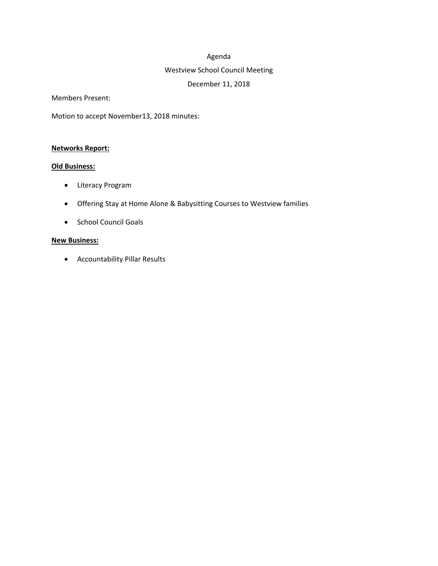#### Agenda

## Westview School Council Meeting

## December 11, 2018

Members Present:

Motion to accept November13, 2018 minutes:

#### **Networks Report:**

### **Old Business:**

- Literacy Program
- Offering Stay at Home Alone & Babysitting Courses to Westview families
- School Council Goals

### **New Business:**

Accountability Pillar Results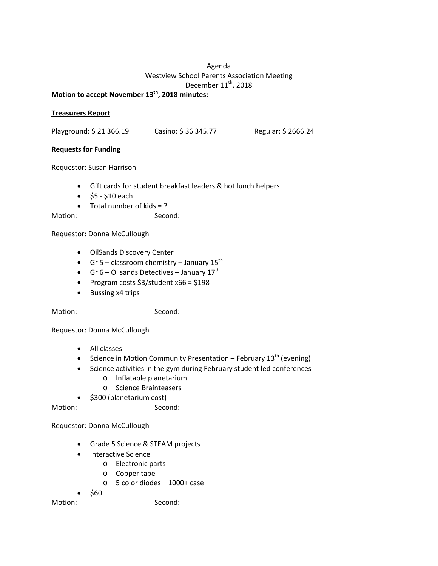# Agenda Westview School Parents Association Meeting December 11<sup>th</sup>, 2018

# **Motion to accept November 13th, 2018 minutes:**

#### **Treasurers Report**

Playground: \$21 366.19 Casino: \$36 345.77 Regular: \$2666.24

# **Requests for Funding**

Requestor: Susan Harrison

- Gift cards for student breakfast leaders & hot lunch helpers
- $•$  \$5 \$10 each
- $\bullet$  Total number of kids = ?

Motion: Second:

Requestor: Donna McCullough

- OilSands Discovery Center
- Gr 5 classroom chemistry January  $15^{th}$
- Gr 6 Oilsands Detectives January  $17<sup>th</sup>$
- Program costs  $$3$ /student x66 = \$198
- Bussing x4 trips

Motion: Second:

Requestor: Donna McCullough

- All classes
- Science in Motion Community Presentation February  $13<sup>th</sup>$  (evening)
- Science activities in the gym during February student led conferences
	- o Inflatable planetarium
	- o Science Brainteasers
- $\bullet$  \$300 (planetarium cost)

Motion: Second:

Requestor: Donna McCullough

- Grade 5 Science & STEAM projects
- Interactive Science
	- o Electronic parts
	- o Copper tape
	- o 5 color diodes 1000+ case

\$60

Motion: Second: